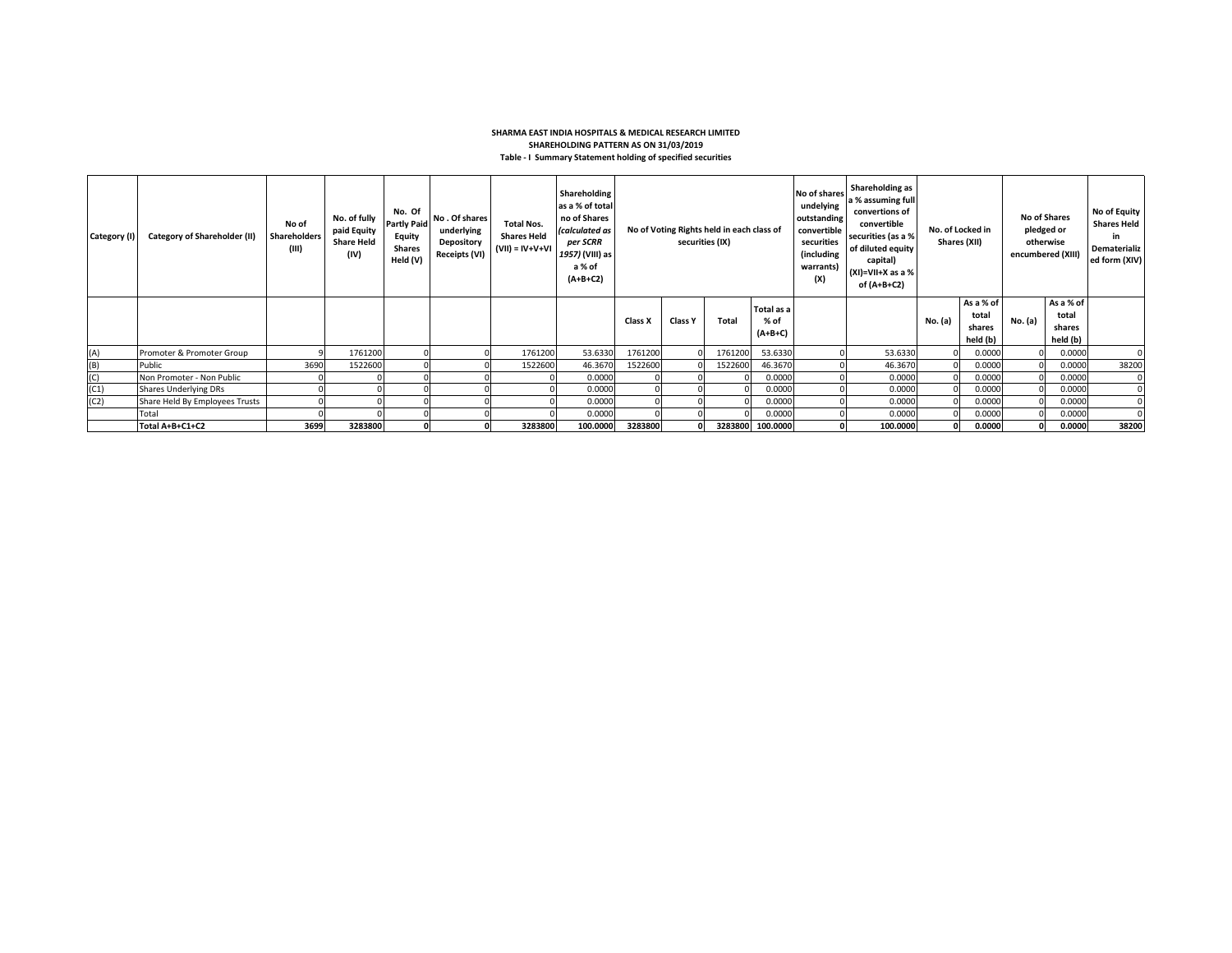## **SHARMA EAST INDIA HOSPITALS & MEDICAL RESEARCH LIMITED SHAREHOLDING PATTERN AS ON 31/03/2019 Table - I Summary Statement holding of specified securities**

| Category (I) | <b>Category of Shareholder (II)</b> | No of<br><b>Shareholders</b><br>(III) | No. of fully<br>paid Equity<br><b>Share Held</b><br>(IV) | No. Of<br><b>Partly Paid</b><br>Equity<br><b>Shares</b><br>Held (V) | No. Of shares<br>underlying<br>Depository<br><b>Receipts (VI)</b> | <b>Total Nos.</b><br><b>Shares Held</b><br>$(VII) = IV+V+VI$ | Shareholding<br>as a % of total<br>no of Shares<br>(calculated as<br>per SCRR<br>1957) (VIII) as<br>a % of<br>$(A+B+C2)$ | No of Voting Rights held in each class of<br>securities (IX) |                |              | No of shares<br>undelying<br>outstanding<br>convertible<br>securities<br>(including<br>warrants)<br>(X) | Shareholding as<br>a % assuming full<br>convertions of<br>convertible<br>securities (as a %<br>of diluted equity<br>capital)<br>$(XI)=VII+X$ as a %<br>of (A+B+C2) | No. of Locked in<br>Shares (XII) |         | No of Shares<br>pledged or<br>otherwise<br>encumbered (XIII) |         | No of Equity<br><b>Shares Held</b><br>in<br>Dematerializ<br>ed form (XIV) |       |
|--------------|-------------------------------------|---------------------------------------|----------------------------------------------------------|---------------------------------------------------------------------|-------------------------------------------------------------------|--------------------------------------------------------------|--------------------------------------------------------------------------------------------------------------------------|--------------------------------------------------------------|----------------|--------------|---------------------------------------------------------------------------------------------------------|--------------------------------------------------------------------------------------------------------------------------------------------------------------------|----------------------------------|---------|--------------------------------------------------------------|---------|---------------------------------------------------------------------------|-------|
|              |                                     |                                       |                                                          |                                                                     |                                                                   |                                                              |                                                                                                                          | Class X                                                      | <b>Class Y</b> | <b>Total</b> | Total as a<br>% of<br>$(A+B+C)$                                                                         |                                                                                                                                                                    |                                  | No. (a) | As a % of<br>total<br>shares<br>held (b)                     | No. (a) | As a % of<br>total<br>shares<br>held (b)                                  |       |
| (A)          | Promoter & Promoter Group           |                                       | 1761200                                                  |                                                                     |                                                                   | 1761200                                                      | 53.6330                                                                                                                  | 1761200                                                      |                | 1761200      | 53.6330                                                                                                 |                                                                                                                                                                    | 53.6330                          |         | 0.0000                                                       |         | 0.0000                                                                    |       |
| (B)          | Public                              | 3690                                  | 1522600                                                  |                                                                     |                                                                   | 1522600                                                      | 46.3670                                                                                                                  | 1522600                                                      |                | 1522600      | 46.3670                                                                                                 |                                                                                                                                                                    | 46.3670                          |         | 0.0000                                                       |         | 0.0000                                                                    | 38200 |
| (C)          | Non Promoter - Non Public           |                                       |                                                          |                                                                     |                                                                   |                                                              | 0.0000                                                                                                                   |                                                              |                |              | 0.0000                                                                                                  |                                                                                                                                                                    | 0.0000                           |         | 0.0000                                                       |         | 0.0000                                                                    |       |
| (C1)         | <b>Shares Underlying DRs</b>        |                                       |                                                          |                                                                     |                                                                   |                                                              | 0.0000                                                                                                                   |                                                              |                |              | 0.0000                                                                                                  |                                                                                                                                                                    | 0.0000                           |         | 0.0000                                                       |         | 0.0000                                                                    |       |
| (C2)         | Share Held By Employees Trusts      |                                       |                                                          |                                                                     |                                                                   |                                                              | 0.0000                                                                                                                   |                                                              |                |              | 0.0000                                                                                                  |                                                                                                                                                                    | 0.0000                           |         | 0.0000                                                       |         | 0.0000                                                                    |       |
|              | Total                               |                                       |                                                          |                                                                     |                                                                   |                                                              | 0.0000                                                                                                                   |                                                              |                |              | 0.0000                                                                                                  |                                                                                                                                                                    | 0.0000                           |         | 0.0000                                                       |         | 0.0000                                                                    |       |
|              | Total A+B+C1+C2                     | 3699                                  | 3283800                                                  |                                                                     |                                                                   | 3283800                                                      | 100.0000                                                                                                                 | 3283800                                                      |                |              | 3283800 100.0000                                                                                        |                                                                                                                                                                    | 100.0000                         |         | 0.0000                                                       |         | 0.0000                                                                    | 38200 |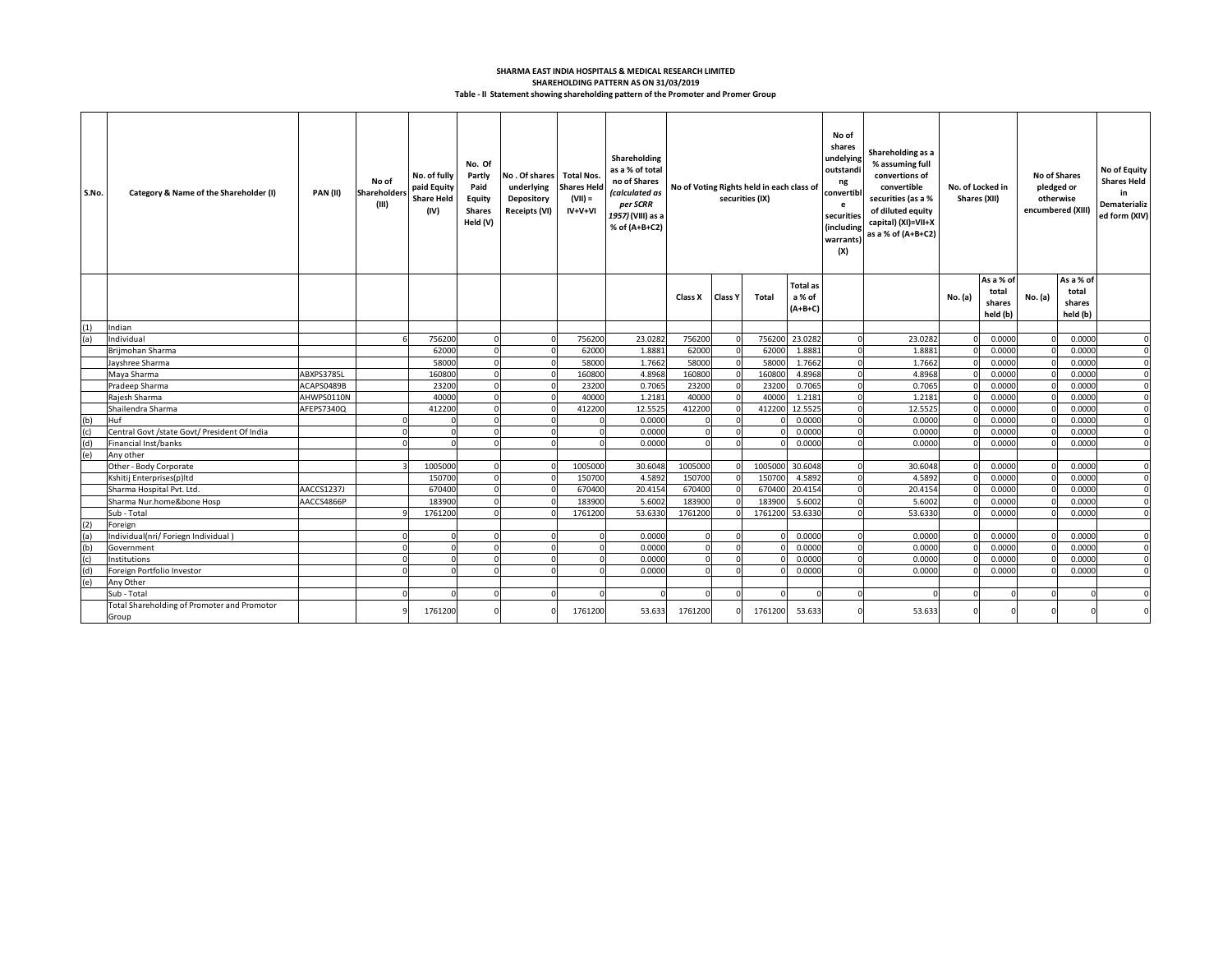## **Table - II Statement showing shareholding pattern of the Promoter and Promer Group SHAREHOLDING PATTERN AS ON 31/03/2019 SHARMA EAST INDIA HOSPITALS & MEDICAL RESEARCH LIMITED**

| S.No. | Category & Name of the Shareholder (I)               | PAN(II)    | No of<br><b>Shareholders</b><br>(III) | No. of fully<br>paid Equity<br><b>Share Held</b><br>(IV) | No. Of<br>Partly<br>Paid<br>Equity<br><b>Shares</b><br>Held (V) | No . Of shares  <br>underlying<br>Depository<br>Receipts (VI) | <b>Total Nos.</b><br><b>Shares Held</b><br>$(VII) =$<br>$IV+V+VI$ | Shareholding<br>as a % of total<br>no of Shares<br>(calculated as<br>per SCRR<br>1957) (VIII) as a<br>% of (A+B+C2) | No of Voting Rights held in each class of<br>securities (IX) |                |         | No of<br>shares<br>undelying<br>outstandi<br>ng<br>convertibl<br>e<br>securities<br>(including<br>warrants<br>(X) |          |         |          |                                          |         |                                          |             |  |  |  |  | Shareholding as a<br>% assuming full<br>convertions of<br>convertible<br>securities (as a %<br>of diluted equity<br>capital) (XI)=VII+X<br>as a % of (A+B+C2) | No. of Locked in<br>Shares (XII) |  |  | <b>No of Shares</b><br>pledged or<br>otherwise<br>encumbered (XIII) | No of Equity<br><b>Shares Held</b><br>in<br>Dematerializ<br>ed form (XIV) |
|-------|------------------------------------------------------|------------|---------------------------------------|----------------------------------------------------------|-----------------------------------------------------------------|---------------------------------------------------------------|-------------------------------------------------------------------|---------------------------------------------------------------------------------------------------------------------|--------------------------------------------------------------|----------------|---------|-------------------------------------------------------------------------------------------------------------------|----------|---------|----------|------------------------------------------|---------|------------------------------------------|-------------|--|--|--|--|---------------------------------------------------------------------------------------------------------------------------------------------------------------|----------------------------------|--|--|---------------------------------------------------------------------|---------------------------------------------------------------------------|
|       |                                                      |            |                                       |                                                          |                                                                 |                                                               |                                                                   |                                                                                                                     | Class X                                                      | <b>Class Y</b> | Total   | <b>Total as</b><br>a % of<br>$(A+B+C)$                                                                            |          |         | No. (a)  | As a % of<br>total<br>shares<br>held (b) | No. (a) | As a % of<br>total<br>shares<br>held (b) |             |  |  |  |  |                                                                                                                                                               |                                  |  |  |                                                                     |                                                                           |
|       | Indian                                               |            |                                       |                                                          |                                                                 |                                                               |                                                                   |                                                                                                                     |                                                              |                |         |                                                                                                                   |          |         |          |                                          |         |                                          |             |  |  |  |  |                                                                                                                                                               |                                  |  |  |                                                                     |                                                                           |
| (a)   | Individual                                           |            |                                       | 756200                                                   |                                                                 |                                                               | 756200                                                            | 23.0282                                                                                                             | 756200                                                       |                | 756200  | 23,0282                                                                                                           | n        | 23.0282 |          | 0.0000                                   |         | 0.0000                                   | $\Omega$    |  |  |  |  |                                                                                                                                                               |                                  |  |  |                                                                     |                                                                           |
|       | Brijmohan Sharma                                     |            |                                       | 62000                                                    |                                                                 |                                                               | 62000                                                             | 1.8881                                                                                                              | 62000                                                        |                | 62000   | 1.8881                                                                                                            | $\Omega$ | 1.8881  | $\Omega$ | 0.0000                                   |         | 0.0000                                   | $\Omega$    |  |  |  |  |                                                                                                                                                               |                                  |  |  |                                                                     |                                                                           |
|       | Javshree Sharma                                      |            |                                       | 58000                                                    |                                                                 |                                                               | 58000                                                             | 1.7662                                                                                                              | 58000                                                        |                | 58000   | 1.7662                                                                                                            |          | 1.7662  |          | 0.0000                                   |         | 0.0000                                   |             |  |  |  |  |                                                                                                                                                               |                                  |  |  |                                                                     |                                                                           |
|       | Maya Sharma                                          | ABXPS3785L |                                       | 160800                                                   |                                                                 |                                                               | 160800                                                            | 4.8968                                                                                                              | 160800                                                       |                | 160800  | 4.8968                                                                                                            | $\Omega$ | 4.8968  |          | 0.0000                                   |         | 0.0000                                   | $\Omega$    |  |  |  |  |                                                                                                                                                               |                                  |  |  |                                                                     |                                                                           |
|       | Pradeep Sharma                                       | ACAPS0489B |                                       | 23200                                                    |                                                                 |                                                               | 23200                                                             | 0.7065                                                                                                              | 23200                                                        |                | 23200   | 0.7065                                                                                                            | $\Omega$ | 0.7065  |          | 0.0000                                   |         | 0.0000                                   | $\Omega$    |  |  |  |  |                                                                                                                                                               |                                  |  |  |                                                                     |                                                                           |
|       | Rajesh Sharma                                        | AHWPS0110N |                                       | 40000                                                    |                                                                 |                                                               | 40000                                                             | 1.2181                                                                                                              | 40000                                                        |                | 40000   | 1.2181                                                                                                            | n        | 1.218   |          | 0.0000                                   |         | 0.0000                                   |             |  |  |  |  |                                                                                                                                                               |                                  |  |  |                                                                     |                                                                           |
|       | Shailendra Sharma                                    | AFEPS7340Q |                                       | 412200                                                   | $\Omega$                                                        |                                                               | 412200                                                            | 12.5525                                                                                                             | 412200                                                       |                | 412200  | 12.5525                                                                                                           | $\Omega$ | 12.5525 |          | 0.0000                                   |         | 0.0000                                   | $\mathbf 0$ |  |  |  |  |                                                                                                                                                               |                                  |  |  |                                                                     |                                                                           |
| (b)   | Huf                                                  |            |                                       |                                                          |                                                                 |                                                               |                                                                   | 0.0000                                                                                                              |                                                              |                |         | 0.0000                                                                                                            |          | 0.0000  |          | 0.0000                                   |         | 0.0000                                   | $\Omega$    |  |  |  |  |                                                                                                                                                               |                                  |  |  |                                                                     |                                                                           |
| (c)   | Central Govt /state Govt/ President Of India         |            | ſ                                     |                                                          | $\Omega$                                                        |                                                               | $\Omega$                                                          | 0.0000                                                                                                              | $\Omega$                                                     |                |         | 0.0000                                                                                                            | $\Omega$ | 0.0000  |          | 0.0000                                   |         | 0.0000                                   | $\Omega$    |  |  |  |  |                                                                                                                                                               |                                  |  |  |                                                                     |                                                                           |
| (d)   | Financial Inst/banks                                 |            | C                                     | $\Omega$                                                 | $\Omega$                                                        |                                                               | $\Omega$                                                          | 0.0000                                                                                                              |                                                              | $\Omega$       |         | 0.0000                                                                                                            | $\Omega$ | 0.0000  |          | 0.0000                                   |         | 0.0000                                   | $\Omega$    |  |  |  |  |                                                                                                                                                               |                                  |  |  |                                                                     |                                                                           |
| (e)   | Any other                                            |            |                                       |                                                          |                                                                 |                                                               |                                                                   |                                                                                                                     |                                                              |                |         |                                                                                                                   |          |         |          |                                          |         |                                          |             |  |  |  |  |                                                                                                                                                               |                                  |  |  |                                                                     |                                                                           |
|       | Other - Body Corporate                               |            |                                       | 1005000                                                  |                                                                 |                                                               | 1005000                                                           | 30.6048                                                                                                             | 1005000                                                      |                | 1005000 | 30.6048                                                                                                           | $\Omega$ | 30.6048 |          | 0.0000                                   |         | 0.0000                                   | $\Omega$    |  |  |  |  |                                                                                                                                                               |                                  |  |  |                                                                     |                                                                           |
|       | Kshitij Enterprises(p)ltd                            |            |                                       | 150700                                                   |                                                                 |                                                               | 150700                                                            | 4.5892                                                                                                              | 150700                                                       |                | 150700  | 4.5892                                                                                                            |          | 4.5892  |          | 0.0000                                   |         | 0.0000                                   | $\Omega$    |  |  |  |  |                                                                                                                                                               |                                  |  |  |                                                                     |                                                                           |
|       | Sharma Hospital Pvt. Ltd.                            | AACCS1237J |                                       | 670400                                                   |                                                                 |                                                               | 670400                                                            | 20.4154                                                                                                             | 670400                                                       |                | 670400  | 20.4154                                                                                                           | n        | 20.4154 |          | 0.0000                                   |         | 0.0000                                   | $\Omega$    |  |  |  |  |                                                                                                                                                               |                                  |  |  |                                                                     |                                                                           |
|       | Sharma Nur.home&bone Hosp                            | AACCS4866P |                                       | 183900                                                   |                                                                 |                                                               | 183900                                                            | 5.6002                                                                                                              | 183900                                                       |                | 183900  | 5.6002                                                                                                            |          | 5.6002  |          | 0.0000                                   |         | 0.0000                                   | $\Omega$    |  |  |  |  |                                                                                                                                                               |                                  |  |  |                                                                     |                                                                           |
|       | Sub - Total                                          |            |                                       | 1761200                                                  |                                                                 |                                                               | 1761200                                                           | 53.6330                                                                                                             | 1761200                                                      |                | 1761200 | 53.6330                                                                                                           |          | 53.6330 |          | 0.0000                                   |         | 0.0000                                   |             |  |  |  |  |                                                                                                                                                               |                                  |  |  |                                                                     |                                                                           |
| (2)   | Foreign                                              |            |                                       |                                                          |                                                                 |                                                               |                                                                   |                                                                                                                     |                                                              |                |         |                                                                                                                   |          |         |          |                                          |         |                                          |             |  |  |  |  |                                                                                                                                                               |                                  |  |  |                                                                     |                                                                           |
| (a)   | Individual(nri/ Foriegn Individual)                  |            |                                       |                                                          |                                                                 |                                                               |                                                                   | 0.0000                                                                                                              |                                                              |                |         | 0.0000                                                                                                            |          | 0.0000  |          | 0.0000                                   |         | 0.0000                                   |             |  |  |  |  |                                                                                                                                                               |                                  |  |  |                                                                     |                                                                           |
| (b)   | Government                                           |            | $\Omega$                              | $\Omega$                                                 | $\Omega$                                                        |                                                               | n                                                                 | 0.0000                                                                                                              | $\Omega$                                                     |                |         | 0.0000                                                                                                            | n        | 0.0000  |          | 0.0000                                   |         | 0.0000                                   |             |  |  |  |  |                                                                                                                                                               |                                  |  |  |                                                                     |                                                                           |
| (c)   | Institutions                                         |            | $\Omega$                              | $\Omega$                                                 | $\Omega$                                                        |                                                               | $\Omega$                                                          | 0.0000                                                                                                              |                                                              |                |         | 0.0000                                                                                                            | $\Omega$ | 0.0000  |          | 0.0000                                   |         | 0.0000                                   |             |  |  |  |  |                                                                                                                                                               |                                  |  |  |                                                                     |                                                                           |
| (d)   | Foreign Portfolio Investor                           |            |                                       |                                                          |                                                                 |                                                               |                                                                   | 0.0000                                                                                                              |                                                              |                |         | 0.0000                                                                                                            |          | 0.0000  |          | 0.0000                                   |         | 0.0000                                   |             |  |  |  |  |                                                                                                                                                               |                                  |  |  |                                                                     |                                                                           |
| (e)   | Any Other                                            |            |                                       |                                                          |                                                                 |                                                               |                                                                   |                                                                                                                     |                                                              |                |         |                                                                                                                   |          |         |          |                                          |         |                                          |             |  |  |  |  |                                                                                                                                                               |                                  |  |  |                                                                     |                                                                           |
|       | Sub - Total                                          |            |                                       |                                                          |                                                                 |                                                               |                                                                   | $\Omega$                                                                                                            |                                                              |                |         |                                                                                                                   |          |         | $\Omega$ |                                          |         |                                          |             |  |  |  |  |                                                                                                                                                               |                                  |  |  |                                                                     |                                                                           |
|       | Total Shareholding of Promoter and Promotor<br>Group |            |                                       | 1761200                                                  |                                                                 |                                                               | 1761200                                                           | 53.633                                                                                                              | 1761200                                                      |                | 1761200 | 53.633                                                                                                            |          | 53.633  |          |                                          |         |                                          |             |  |  |  |  |                                                                                                                                                               |                                  |  |  |                                                                     |                                                                           |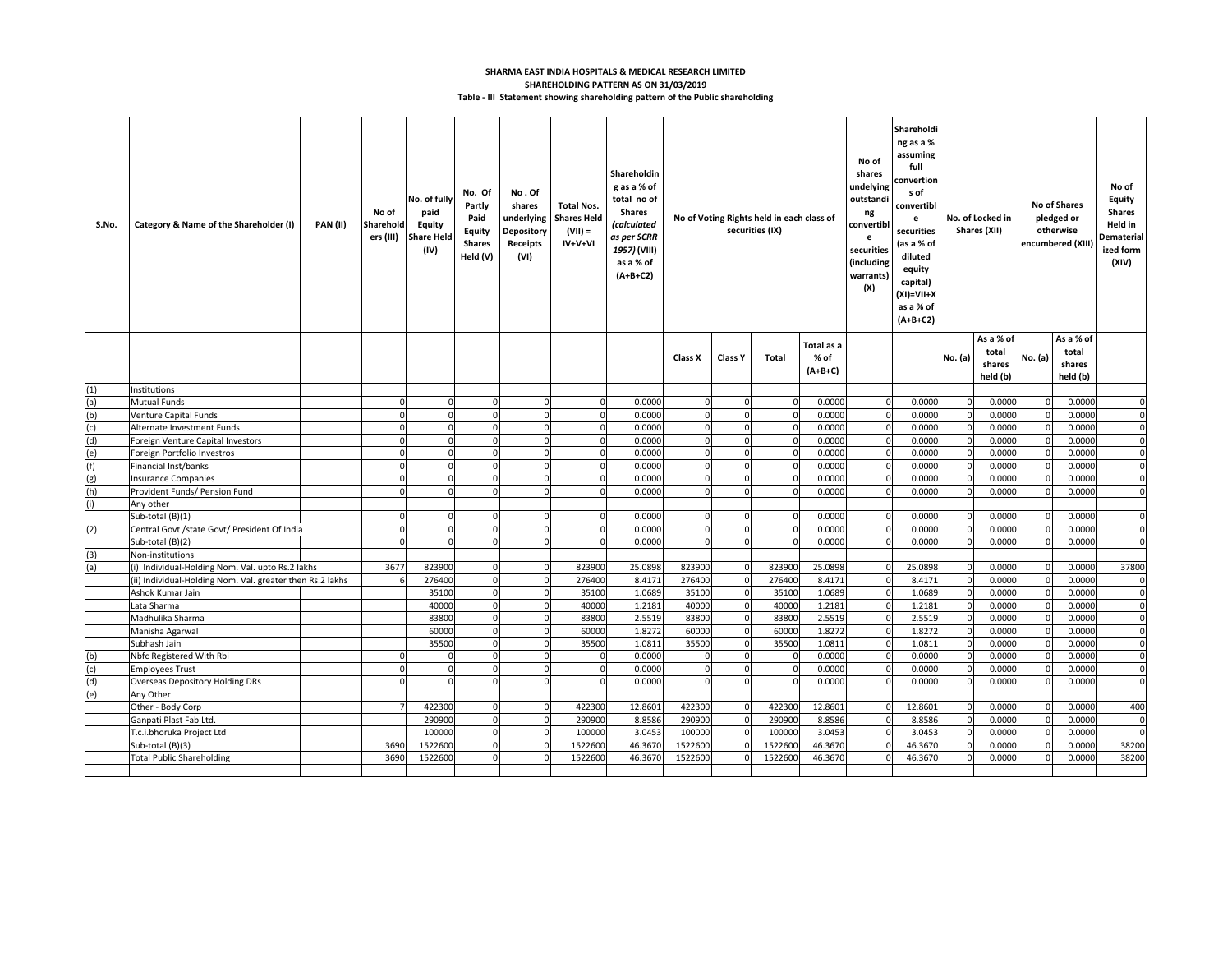## **Table - III Statement showing shareholding pattern of the Public shareholding SHARMA EAST INDIA HOSPITALS & MEDICAL RESEARCH LIMITED SHAREHOLDING PATTERN AS ON 31/03/2019**

| S.No. | Category & Name of the Shareholder (I)                    | <b>PAN (II)</b> | No of<br>Sharehold<br>ers (III) | No. of fully<br>paid<br><b>Equity</b><br><b>Share Held</b><br>(IV) | No. Of<br>Partly<br>Paid<br>Equity<br><b>Shares</b><br>Held (V) | No.Of<br>shares<br>underlying<br><b>Depository</b><br>Receipts<br>(VI) | <b>Total Nos.</b><br><b>Shares Held</b><br>$(VII) =$<br>$IV+V+VI$ | Shareholdin<br>g as a % of<br>total no of<br><b>Shares</b><br>(calculated<br>as per SCRR<br>1957) (VIII)<br>as a % of<br>$(A+B+C2)$ | No of Voting Rights held in each class of<br>securities (IX) |                               |                | Sharehold<br>ng as a %<br>assuming<br>No of<br>full<br>shares<br>onvertior:<br>undelying<br>s of<br>outstandi<br>convertibl<br>ng<br>e<br>convertibl<br>securities<br>e<br>(as a % of<br>securities<br>diluted<br>(including<br>equity<br>warrants)<br>capital)<br>(X)<br>(XI)=VII+X<br>as a % of<br>$(A+B+C2)$ |                         |                 | No. of Locked in<br>Shares (XII) |                                          | No of Shares<br>pledged or<br>otherwise<br>encumbered (XIII | No of<br>Equity<br><b>Shares</b><br>Held in<br>Dematerial<br>ized form<br>(XIV) |                         |
|-------|-----------------------------------------------------------|-----------------|---------------------------------|--------------------------------------------------------------------|-----------------------------------------------------------------|------------------------------------------------------------------------|-------------------------------------------------------------------|-------------------------------------------------------------------------------------------------------------------------------------|--------------------------------------------------------------|-------------------------------|----------------|-----------------------------------------------------------------------------------------------------------------------------------------------------------------------------------------------------------------------------------------------------------------------------------------------------------------|-------------------------|-----------------|----------------------------------|------------------------------------------|-------------------------------------------------------------|---------------------------------------------------------------------------------|-------------------------|
|       |                                                           |                 |                                 |                                                                    |                                                                 |                                                                        |                                                                   |                                                                                                                                     | Class X                                                      | Class Y                       | <b>Total</b>   | Total as a<br>% of<br>$(A+B+C)$                                                                                                                                                                                                                                                                                 |                         |                 | No. (a)                          | As a % of<br>total<br>shares<br>held (b) | No. (a)                                                     | As a % of<br>total<br>shares<br>held (b)                                        |                         |
| (1)   | Institutions                                              |                 |                                 |                                                                    |                                                                 |                                                                        |                                                                   |                                                                                                                                     |                                                              |                               |                |                                                                                                                                                                                                                                                                                                                 |                         |                 |                                  |                                          |                                                             |                                                                                 |                         |
| (a)   | <b>Mutual Funds</b>                                       |                 | $\Omega$                        | $\Omega$                                                           |                                                                 | $\Omega$                                                               | $\Omega$                                                          | 0.0000                                                                                                                              |                                                              | $\Omega$                      | $\Omega$       | 0.0000                                                                                                                                                                                                                                                                                                          | $\Omega$                | 0.0000          | $\Omega$                         | 0.0000                                   |                                                             | 0.0000                                                                          | $\Omega$                |
| (b)   | <b>Venture Capital Funds</b>                              |                 | $\mathbf 0$                     | $\Omega$                                                           |                                                                 | $\Omega$                                                               | $\Omega$                                                          | 0.0000                                                                                                                              |                                                              | $\mathbf 0$                   | $\Omega$       | 0.0000                                                                                                                                                                                                                                                                                                          | $\mathbf{0}$            | 0.0000          |                                  | 0.0000                                   | $\Omega$                                                    | 0.0000                                                                          | $\mathbf 0$             |
| (c)   | Alternate Investment Funds                                |                 | $\Omega$                        | $\Omega$                                                           |                                                                 | $\Omega$                                                               | $\mathbf 0$                                                       | 0.0000                                                                                                                              | $\Omega$                                                     | $\mathbf 0$                   | $\Omega$       | 0.0000                                                                                                                                                                                                                                                                                                          | $\Omega$                | 0.0000          | $\Omega$                         | 0.0000                                   | $\Omega$                                                    | 0.0000                                                                          | $\Omega$                |
| (d)   | Foreign Venture Capital Investors                         |                 | $\Omega$                        | $\Omega$                                                           |                                                                 | $\Omega$                                                               | $\Omega$                                                          | 0.0000                                                                                                                              | $\mathbf{0}$                                                 | $\mathbf 0$                   | 0              | 0.0000                                                                                                                                                                                                                                                                                                          | $\Omega$                | 0.000           | $\Omega$                         | 0.0000                                   | $\Omega$                                                    | 0.0000                                                                          | $\mathbf 0$             |
| (e)   | Foreign Portfolio Investros                               |                 | $\Omega$                        | $\Omega$                                                           |                                                                 | $\Omega$                                                               |                                                                   | 0.0000                                                                                                                              |                                                              | $\Omega$                      |                | 0.0000                                                                                                                                                                                                                                                                                                          | $\Omega$                | 0.0000          |                                  | 0.0000                                   |                                                             | 0.0000                                                                          | $\mathbf 0$             |
| (f)   | Financial Inst/banks                                      |                 | $\Omega$                        | $\Omega$                                                           |                                                                 | $\Omega$                                                               | $\Omega$                                                          | 0.0000                                                                                                                              |                                                              | $\Omega$                      |                | 0.0000                                                                                                                                                                                                                                                                                                          | $\Omega$                | 0.000           |                                  | 0.0000                                   |                                                             | 0.0000                                                                          | $\Omega$                |
| (g)   | <b>Insurance Companies</b>                                |                 | $\Omega$                        | $\Omega$                                                           |                                                                 | $\Omega$                                                               | $\Omega$                                                          | 0.0000                                                                                                                              |                                                              | $\Omega$                      |                | 0.0000                                                                                                                                                                                                                                                                                                          | $\Omega$                | 0.000           |                                  | 0.0000                                   |                                                             | 0.0000                                                                          | $\Omega$                |
| (h)   | Provident Funds/ Pension Fund                             |                 | $\Omega$                        | $\Omega$                                                           |                                                                 | $\Omega$                                                               | $\Omega$                                                          | 0.0000                                                                                                                              |                                                              | $\mathbf 0$                   |                | 0.0000                                                                                                                                                                                                                                                                                                          | $\Omega$                | 0.0000          |                                  | 0.0000                                   |                                                             | 0.0000                                                                          | $\Omega$                |
| (i)   | Any other                                                 |                 |                                 |                                                                    |                                                                 |                                                                        |                                                                   |                                                                                                                                     |                                                              |                               |                |                                                                                                                                                                                                                                                                                                                 |                         |                 |                                  |                                          |                                                             |                                                                                 |                         |
|       | Sub-total (B)(1)                                          |                 | $\Omega$                        | $\Omega$                                                           |                                                                 | $\Omega$                                                               | $\Omega$                                                          | 0.0000                                                                                                                              |                                                              | $\mathbf 0$                   | $\Omega$       | 0.0000                                                                                                                                                                                                                                                                                                          | $\Omega$                | 0.0000          |                                  | 0.0000                                   |                                                             | 0.0000                                                                          | $\Omega$                |
| (2)   | Central Govt /state Govt/ President Of India              |                 | $\mathbf 0$                     | $\Omega$                                                           |                                                                 | $\Omega$                                                               | $\Omega$                                                          | 0.0000                                                                                                                              |                                                              | $\mathbf 0$                   | $\Omega$       | 0.0000                                                                                                                                                                                                                                                                                                          | $\Omega$                | 0.0000          |                                  | 0.0000                                   |                                                             | 0.0000                                                                          | $\mathbf 0$             |
|       | Sub-total (B)(2)                                          |                 | $\Omega$                        | $\Omega$                                                           |                                                                 | $\Omega$                                                               | $\Omega$                                                          | 0.0000                                                                                                                              | $\Omega$                                                     | $\mathbf 0$                   | $\Omega$       | 0.0000                                                                                                                                                                                                                                                                                                          | $\Omega$                | 0.0000          |                                  | 0.0000                                   | $\Omega$                                                    | 0.0000                                                                          | $\Omega$                |
| (3)   | Non-institutions                                          |                 |                                 |                                                                    |                                                                 |                                                                        |                                                                   |                                                                                                                                     |                                                              |                               |                |                                                                                                                                                                                                                                                                                                                 |                         |                 |                                  |                                          |                                                             |                                                                                 |                         |
| (a    | (i) Individual-Holding Nom. Val. upto Rs.2 lakhs          |                 | 3677                            | 823900                                                             |                                                                 | O                                                                      | 823900                                                            | 25.0898                                                                                                                             | 823900                                                       | $\mathbf 0$                   | 823900         | 25.0898                                                                                                                                                                                                                                                                                                         |                         | 25.0898         |                                  | 0.0000                                   |                                                             | 0.0000                                                                          | 37800                   |
|       | (ii) Individual-Holding Nom. Val. greater then Rs.2 lakhs |                 |                                 | 276400                                                             |                                                                 | $\Omega$<br>$\Omega$                                                   | 276400                                                            | 8.4171                                                                                                                              | 276400                                                       | $\overline{0}$<br>$\mathbf 0$ | 276400         | 8.4171                                                                                                                                                                                                                                                                                                          | $\Omega$<br>$\Omega$    | 8.4171          |                                  | 0.0000                                   |                                                             | 0.0000                                                                          | $\mathbf 0$<br>$\Omega$ |
|       | Ashok Kumar Jain                                          |                 |                                 | 35100                                                              |                                                                 | $\Omega$                                                               | 35100                                                             | 1.0689                                                                                                                              | 35100                                                        |                               | 35100          | 1.0689                                                                                                                                                                                                                                                                                                          |                         | 1.068           |                                  | 0.0000                                   |                                                             | 0.0000                                                                          | $\mathbf 0$             |
|       | Lata Sharma<br>Madhulika Sharma                           |                 |                                 | 40000<br>83800                                                     |                                                                 | $\Omega$                                                               | 40000<br>83800                                                    | 1.2181<br>2.5519                                                                                                                    | 40000<br>83800                                               | $\mathbf 0$<br>$\mathsf{o}$   | 40000<br>83800 | 1.2181<br>2.5519                                                                                                                                                                                                                                                                                                | $\Omega$<br>$\mathbf 0$ | 1.218<br>2.5519 |                                  | 0.0000<br>0.0000                         |                                                             | 0.0000<br>0.0000                                                                | $\mathbf 0$             |
|       | Manisha Agarwal                                           |                 |                                 | 60000                                                              |                                                                 | $\Omega$                                                               | 60000                                                             | 1.8272                                                                                                                              | 60000                                                        | $\mathbf 0$                   | 60000          | 1.8272                                                                                                                                                                                                                                                                                                          | $\Omega$                | 1.8272          |                                  | 0.0000                                   | $\Omega$                                                    | 0.0000                                                                          | $\Omega$                |
|       | Subhash Jain                                              |                 |                                 | 35500                                                              |                                                                 | $\Omega$                                                               | 35500                                                             | 1.0811                                                                                                                              | 35500                                                        | $\mathbf 0$                   | 35500          | 1.0811                                                                                                                                                                                                                                                                                                          | $\Omega$                | 1.081           |                                  | 0.0000                                   |                                                             | 0.0000                                                                          | $\mathbf 0$             |
| (b)   | Nbfc Registered With Rbi                                  |                 | $\Omega$                        | $\Omega$                                                           |                                                                 | $\Omega$                                                               | $\mathbf 0$                                                       | 0.0000                                                                                                                              | $\Omega$                                                     | $\mathbf 0$                   | $\Omega$       | 0.0000                                                                                                                                                                                                                                                                                                          | $\Omega$                | 0.0000          | $\mathbf 0$                      | 0.0000                                   | $\Omega$                                                    | 0.0000                                                                          | $\mathbf 0$             |
| (c)   | <b>Employees Trust</b>                                    |                 | $\Omega$                        |                                                                    |                                                                 | $\Omega$                                                               |                                                                   | 0.0000                                                                                                                              |                                                              | $\Omega$                      | $\Omega$       | 0.0000                                                                                                                                                                                                                                                                                                          |                         | 0.000           |                                  | 0.0000                                   |                                                             | 0.0000                                                                          | $\mathbf 0$             |
| (d)   | Overseas Depository Holding DRs                           |                 |                                 |                                                                    |                                                                 | $\Omega$                                                               |                                                                   | 0.0000                                                                                                                              |                                                              | $\Omega$                      |                | 0.0000                                                                                                                                                                                                                                                                                                          | $\Omega$                | 0.0000          |                                  | 0.0000                                   |                                                             | 0.0000                                                                          | $\Omega$                |
| (e)   | Any Other                                                 |                 |                                 |                                                                    |                                                                 |                                                                        |                                                                   |                                                                                                                                     |                                                              |                               |                |                                                                                                                                                                                                                                                                                                                 |                         |                 |                                  |                                          |                                                             |                                                                                 |                         |
|       | Other - Body Corp                                         |                 | $\overline{7}$                  | 422300                                                             |                                                                 | $\Omega$                                                               | 422300                                                            | 12.8601                                                                                                                             | 422300                                                       | $\mathbf 0$                   | 422300         | 12.8601                                                                                                                                                                                                                                                                                                         | $\Omega$                | 12.860          |                                  | 0.0000                                   |                                                             | 0.0000                                                                          | 400                     |
|       | Ganpati Plast Fab Ltd.                                    |                 |                                 | 290900                                                             |                                                                 | $\Omega$                                                               | 290900                                                            | 8.8586                                                                                                                              | 290900                                                       | $\mathbf 0$                   | 290900         | 8.8586                                                                                                                                                                                                                                                                                                          | $\Omega$                | 8.858           |                                  | 0.0000                                   |                                                             | 0.0000                                                                          | $\mathbf 0$             |
|       | T.c.i.bhoruka Project Ltd                                 |                 |                                 | 100000                                                             |                                                                 | $\Omega$                                                               | 100000                                                            | 3.0453                                                                                                                              | 100000                                                       | $\mathbf 0$                   | 100000         | 3.0453                                                                                                                                                                                                                                                                                                          | $\Omega$                | 3.045           |                                  | 0.0000                                   | $\Omega$                                                    | 0.0000                                                                          | $\mathbf 0$             |
|       | Sub-total (B)(3)                                          |                 | 3690                            | 1522600                                                            |                                                                 | $\Omega$                                                               | 1522600                                                           | 46.3670                                                                                                                             | 1522600                                                      | $\mathbf 0$                   | 1522600        | 46.3670                                                                                                                                                                                                                                                                                                         | $\Omega$                | 46.367          |                                  | 0.0000                                   | $\Omega$                                                    | 0.0000                                                                          | 38200                   |
|       | <b>Total Public Shareholding</b>                          |                 | 3690                            | 1522600                                                            |                                                                 | $\Omega$                                                               | 1522600                                                           | 46.3670                                                                                                                             | 1522600                                                      | $\mathbf 0$                   | 1522600        | 46.3670                                                                                                                                                                                                                                                                                                         | $\Omega$                | 46.367          |                                  | 0.0000                                   | $\Omega$                                                    | 0.0000                                                                          | 38200                   |
|       |                                                           |                 |                                 |                                                                    |                                                                 |                                                                        |                                                                   |                                                                                                                                     |                                                              |                               |                |                                                                                                                                                                                                                                                                                                                 |                         |                 |                                  |                                          |                                                             |                                                                                 |                         |